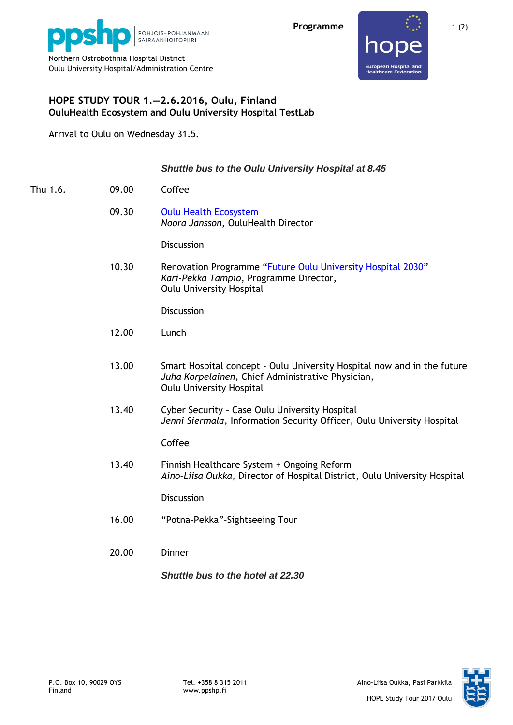



## **HOPE STUDY TOUR 1.—2.6.2016, Oulu, Finland OuluHealth Ecosystem and Oulu University Hospital TestLab**

Arrival to Oulu on Wednesday 31.5.

## *Shuttle bus to the Oulu University Hospital at 8.45*

- Thu 1.6. 09.00 Coffee
	- 09.30 [Oulu Health Ecosystem](http://ouluhealth.fi/) *Noora Jansson*, OuluHealth Director

**Discussion** 

10.30 Renovation Programme "[Future Oulu University Hospital 2030](http://www.oys2030.fi/english.php)" *Kari-Pekka Tampio*, Programme Director, Oulu University Hospital

**Discussion** 

- 12.00 Lunch
- 13.00 Smart Hospital concept Oulu University Hospital now and in the future *Juha Korpelainen*, Chief Administrative Physician, Oulu University Hospital
- 13.40 Cyber Security Case Oulu University Hospital *Jenni Siermala*, Information Security Officer, Oulu University Hospital

Coffee

13.40 Finnish Healthcare System + Ongoing Reform *Aino-Liisa Oukka*, Director of Hospital District, Oulu University Hospital

**Discussion** 

- 16.00 "Potna-Pekka"–Sightseeing Tour
- 20.00 Dinner

*Shuttle bus to the hotel at 22.30*